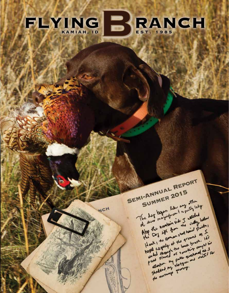### RANCH FLYING  $\mathbf{B}^{\prime}$

NCH

**SEMI-ANNUAL REPORT** SUMMER 2015 The day began like any other of this magingment sporty loty After the nomitain side I would have Hank , the Gamon stood hand Pointer, hoges cagenty at the ground as I pended through the book brush. 145 starting and questions were det it as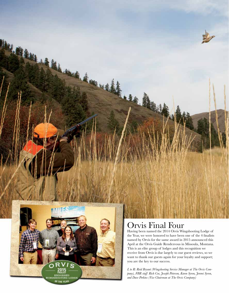

# Orvis Final Four

Having been named the 2014 Orvis Wingshooting Lodge of the Year, we were honored to have been one of the 4 finalists named by Orvis for the same award in 2015 announced this April at the Orvis Guide Rendezvous in Missoula, Montana. This is an elite group of lodges and this recognition we receive from Orvis is due largely to our guest reviews, so we want to thank our guests again for your loyalty and support; you are the key to our success.

*L to R: Reid Bryant (Wingshooting Service Manager at The Orvis Company), FBR staff Rich Coe, Joseph Peterson, Karen Syron, Jeremi Syron, and Dave Perkins (Vice Chairman at The Orvis Company)*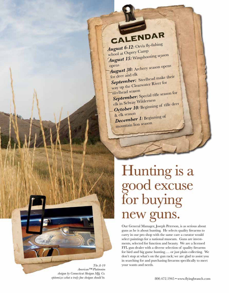# *ALENDAR*<br>*August 6-12:* Orvis fly-fishing

school at Osprey Camp *August 15:* Wingshooting season

opens *August 30:* Archery season opens for deer and elk

September: Steelhead make their way up the Clearwater River for

steelhead season *September:* Special rifle season for

elk in Selway Wilderness October 10: Beginning of rifle deer

& elk season *December 1:* Beginning of mountain lion season

# Hunting is a<br>good excuse<br>for buying new guns.

Our General Manager, Joseph Peterson, is as serious about guns as he is about hunting. He selects quality firearms to carry in our pro shop with the same care a curator would select paintings for a national museum. Guns are investments, selected for function and beauty. We are a licensed FFL gun dealer with a diverse selection of quality firearms for bird and big game hunting…. or just plain collecting. We don't stop at what's on the gun rack; we are glad to assist you in searching for and purchasing firearms specifically to meet *The A-10* vour wants and needs.

*American™ Platimnim shotgun by Connecticut Shotgun Mfg. Co.*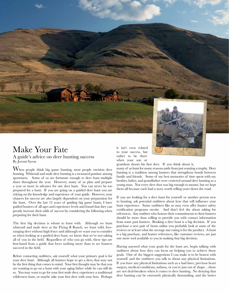

#### Make Your Fate A guide's advice on deer hunting success By Jeremi Syron

When people think big game hunting, most people envision deer hunting. Whitetail and mule deer hunting is a treasured pastime among sportsmen. Some of us are fortunate enough to deer hunt multiple times throughout the year. However, many of us plan and prepare a year or more in advance for one deer hunt. You can never be too prepared for a hunt. If you are going on a guided deer hunt you are relying on the knowledge and experience of your guide. However, your chances for success are also largely dependent on your preparation for the hunt. Over the last 12 years of guiding big game hunts, I have guided hunters of all ages and experience levels and found that they can greatly increase their odds of success by considering the following when preparing for their hunt.

The first big decision is whom to hunt with. Although we hunt whitetail and mule deer at the Flying B Ranch, we hunt wild, freeranging deer without high fence and although we want you to consider us when looking at a guided deer hunt, we know that we're not taking all of you in the field. Regardless of who you go with, these tips are first-hand from a guide that loves nothing more than to see hunters succeed in the field.

Before contacting outfitters, ask yourself what your primary goal is for your deer hunt. Although all hunters hope to get a deer, that may not be the first thing that comes to mind. Your first thought may be that you are wanting to go on a hunt with your aging father while he can still do so. You may want to go for your first mule deer, experience a traditional wilderness hunt, or maybe take your first deer with your bow. Perhaps it isn't even related to your success, but rather to be there when your son or

grandson shoots his first deer. If you think about it,

many of us hunt for many reasons aside from just wanting a trophy. Deer hunting is a tradition among hunters that strengthens bonds between family and friends. Some of my best memories of time spent with my brother, father, and grandfather were centered around deer hunting as a young man. Not every deer shot was big enough to mount, but we kept them all because each had a story worth telling years down the road.

If you are looking for a deer hunt for yourself or another person new to hunting, ask potential outfitters about how that will influence your hunt experience. Some outfitters like us may even offer hunter safety certification programs on-site. And don't feel shy about asking for references. Any outfitter who honors their commitments to their hunters should be more than willing to provide you with contact information from some past hunters. Booking a deer hunt is a big decision. If you purchase a new pair of boots online you probably look at some of the reviews or at least what the average star rating is for the product. A hunt is a big purchase, and hunter references, like customer reviews, are just one more tool available to you in making that big decision.

Having assessed what your goals for the hunt are, begin talking with outfitters about how they can focus on helping you to achieve those goals. One of the biggest suggestions I can make is to be honest with yourself and the outfitters you talk to about any physical limitations. If you have any physical limitations such as a bad knee, previous heart surgery, medical conditions, asthma, or you're just out of shape…those are not deal-breakers when it comes to deer hunting. No denying that deer hunting can be extremely physically demanding, and the better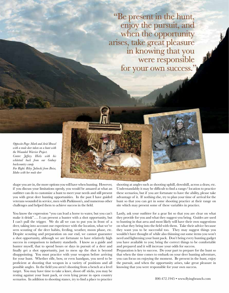"Be present in the hunt, enjoy the pursuit, and when the opportunity arises, take great pleasure in knowing that you were responsible for your own success."

*Opposite Page: Mark and Ariel Brasel with a mule deer taken on a hunt with the Wounded Warrior Project. Center: Jeffery. Hicks with his whitetail buck from our Gedney backcountry camp. Far Right: Riley Jalinski from Boise, Idaho with her mule deer*

shape you are in, the more options you will have when hunting. However, if you discuss your limitations openly, you would be amazed at what an outfitter can do to customize a hunt to meet your needs and still present you with great deer hunting opportunities. In the past I have guided veterans wounded in service, men with Parkinson's, and numerous other challenges and helped them to achieve success in the field.

You know the expression "you can lead a horse to water, but you can't make it drink"…. I can present a hunter with a shot opportunity, but I can't pull the trigger. We do all we can to put you in front of a deer, taking into account our experience with the location, what we've seen scouting of the deer habits, feeding, weather, moon phase, etc. Despite scouting and preparation on our end, we cannot guarantee a shot opportunity, although we are fortunate to have relatively high success in comparison to industry standards. I know as a guide and hunter myself, that to spend hours or days in pursuit of a deer and finally get a shot opportunity, just to mess up the shot is beyond disappointing. You must practice with your weapon before arriving for your hunt. Whether rifle, bow, or even handgun, you need to be proficient at shooting that weapon in a variety of positions and all possible angles. In the field you aren't shooting from a bench at a level target. You may have time to take a knee, shoot off sticks, you may be resting against your hunt pack, or even lying prone in open country scenarios. In addition to shooting stance, try to find a place to practice

shooting at angles such as shooting uphill, downhill, across a draw, etc. Understandably it may be difficult to find a range/ location to practice these scenarios, but if you are fortunate to have the ability, please take advantage of it. If nothing else, try to plan your time of arrival for the hunt so that you can get in some shooting practice at their range on site which may present some of these variables in practice.

Lastly, ask your outfitter for a gear list so that you are clear on what they provide for you and what they suggest you bring. Guides are used to hunting in that area and most likely will have their own suggestions on what they bring into the field with them. Take their advice because they want you to be successful too. They may suggest things you wouldn't have thought of while also thinning out some items you won't need and lightening your hunt pack. Don't bring every hunting gadget you have available to you; bring the correct things to be comfortable and prepared and it will increase your odds for success.

Preparation is key to success. Do your part to prepare for the hunt so that when the time comes to embark on your deer hunting adventure, you can focus on enjoying the moment. Be present in the hunt, enjoy the pursuit, and when the opportunity arises, take great pleasure in knowing that you were responsible for your own success.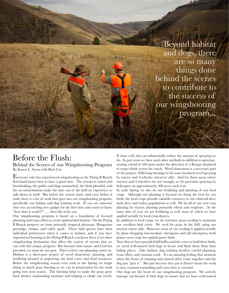

## Before the Flush:

Behind the Scenes of our Wingshooting Program By Karen L. Syron with Rich Coe

Everyone who has experienced wingshooting at the Flying B Ranch first-hand knows how to have a good time. The terrain is varied and breathtaking, the guides and dogs unmatched, the birds plentiful, and the accommodations make the time out of the field an experience to talk about in itself. But before the season starts (and even before it ends) there is a lot of work that goes into our wingshooting program, specifically our habitat and dog training work. If you are someone who sees an exciting new gadget for the first time and wants to know "how does it work?!?"….. then this is for you.

Our wingshooting program is based on a foundation of focused planning and team effort to create optimal bird habitat. On the Flying B Ranch property we hunt primarily ringneck pheasant, Hungarian partridge, chukar, and valley quail. These bird species have their individual preferences when it comes to habitat, and if you have experienced hunting at the Flying B Ranch you know there is no other wingshooting destination that offers the variety of terrain that we can with this unique property. But beyond what nature and God has provided, we must do our part. This is where our planning comes in. Habitat is a three-part project of weed abatement, planting, and fertilizing focused at improving our bird cover and food resources. Before the wingshooting season even ends in the Spring we begin doing as much grass burning as we can in preparation for the work going into next season. The burning helps to make the grass grow back thicker, maintaining moisture and helping to choke out weeds.

If done well, this can substantially reduce the amount of spraying we do. In past years we have used other methods in addition to spraying– renting a herd of 500 goats under the direction of a Basque shepherd to target thistle across the ranch. Weed abatement is a necessary part of the project. Following burning we do some localized weed spraying by tractor and 4-wheeler wherever able. And for those areas where tractors and 4-wheelers are not enough, we do precision spraying by helicopter on approximately 400 acres each year.

In early Spring we also do our fertilizing and planting of our food crops. Although our planting is focused on doing the best for our birds, the food crops provide valuable resources to our whitetail deer, mule deer, and turkey populations as well. We do all of our own crop planting by tractor, planting primarily wheat and sorghum. At the same time of year we are fertilizing as well, most of which we have applied aerially by local crop-dusters.

In addition to food crops, we do extensive grass seeding to maintain our excellent bird cover. We seed for grass in the Fall, using our tractors where able. However, most of our seeding is applied aerially by plane dropping intermediate wheatgrass and tall wheatgrass, both prime cover crops for upland game birds.

Now that we have provided full bellies and the cover to hold these birds, we need well-trained bird dogs to locate and flush them from their hiding places. Like habitat, dog training involves careful planning, team effort, and constant work. It's an amazing feeling, that moment when the hours of training and natural drive come together and the dog just "gets it." But just because they got it doesn't mean the work is over, constant reminding and correction is essential.

Our dogs are the heart of our wingshooting program. We actively manage our kennel of bird dogs to ensure that we have well-trained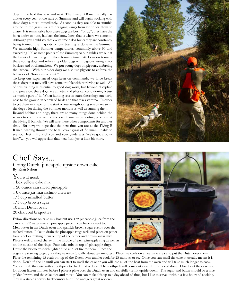dogs in the field this year and next. The Flying B Ranch usually has a litter every year at the start of Summer and will begin working with these dogs almost immediately. As soon as they are able to stumble around in the grass, we are dragging wings from twine for them to chase. It is remarkable how these dogs are born "birdy"; they have the born desire to hunt, but lack the know-how; that is where we come in. Although you could say that every time a dog hunts they are constantly being trained, the majority of our training is done in the Summer. We maintain high Summer temperatures, commonly above 90 and exceeding 100 at some points of the Summer, so our guides are out at the break of dawn to get in their training time. We focus on training these young dogs and refreshing older dogs with pigeons, using autobackers and bird launchers. We put young dogs on pigeons, enforcing the "whoa." With our older dogs we also use pigeons to enforce the behavior of "honoring a point."

To keep our experienced dogs keen on commands, we force break those dogs that may still have some trouble with retrieving as well. All of this training is essential to good dog work, but beyond discipline and precision, these dogs are athletes and physical conditioning is just as much a part of it. When hunting season starts these dogs run hard, nose to the ground in search of birds and that takes stamina. In order to get them in shape for the start of our wingshooting season we swim the dogs a lot during the Summer months as well as running them.

Beyond habitat and dogs, there are so many things done behind the scenes to contribute to the success of our wingshooting program at the Flying B Ranch. We will save these other components for another time. For now, we hope that the next time you are at the Flying B Ranch, wading through the 6' tall cover grass of Stillman, unable to see your feet in front of you and your guide says "we've got a point here".... you will appreciate that next flush just a little bit more.



# Chef Says...

Going Dutch: pineapple upside down cake By Ryan Nelson

You will need: 1 box yellow cake mix 1 20 ounce can sliced pineapple 1 8 ounce jar maraschino cherries 1/3 cup unsalted butter 1/3 cup brown sugar 10 inch Dutch oven 20 charcoal briquettes

Follow directions on cake mix box but use 1/2 pineapple juice from the can and 1/2 water (use all pineapple juice if you have a sweet tooth). Melt butter in the Dutch oven and sprinkle brown sugar evenly over the melted butter. I like to drain the pineapple rings well and place on paper towels before putting them on top of the butter and brown sugar mix. Place a well drained cherry in the middle of each pineapple ring as well as on the outside of the rings. Pour cake mix on top of pineapple rings. Douse the briquettes with lighter fluid and set fire to them. Once the



edges are starting to get gray, they're ready (usually about ten minutes). Place five coals on a heat safe area and put the Dutch over them. Place the remaining 15 coals on top of the Dutch oven and let cook for 25 minutes or so. Once you can smell the cake, it usually means it is done. Don't lift the lid until you can start to smell the cake or you will lose all of the heat from the oven and will take much longer to cook. You can stab the cake with a toothpick to check if it is done. The toothpick will come out clean if it is indeed done. I like to let the cake rest for about fifteen minutes before I place a plate over the Dutch oven and carefully turn it upside down. The sugar and butter should be a nice golden brown and the cake nice and moist. You can make this up to a day ahead of time, but I like to serve it within a few hours of cooking. This is a staple at every backcountry hunt I do and gets great reviews.